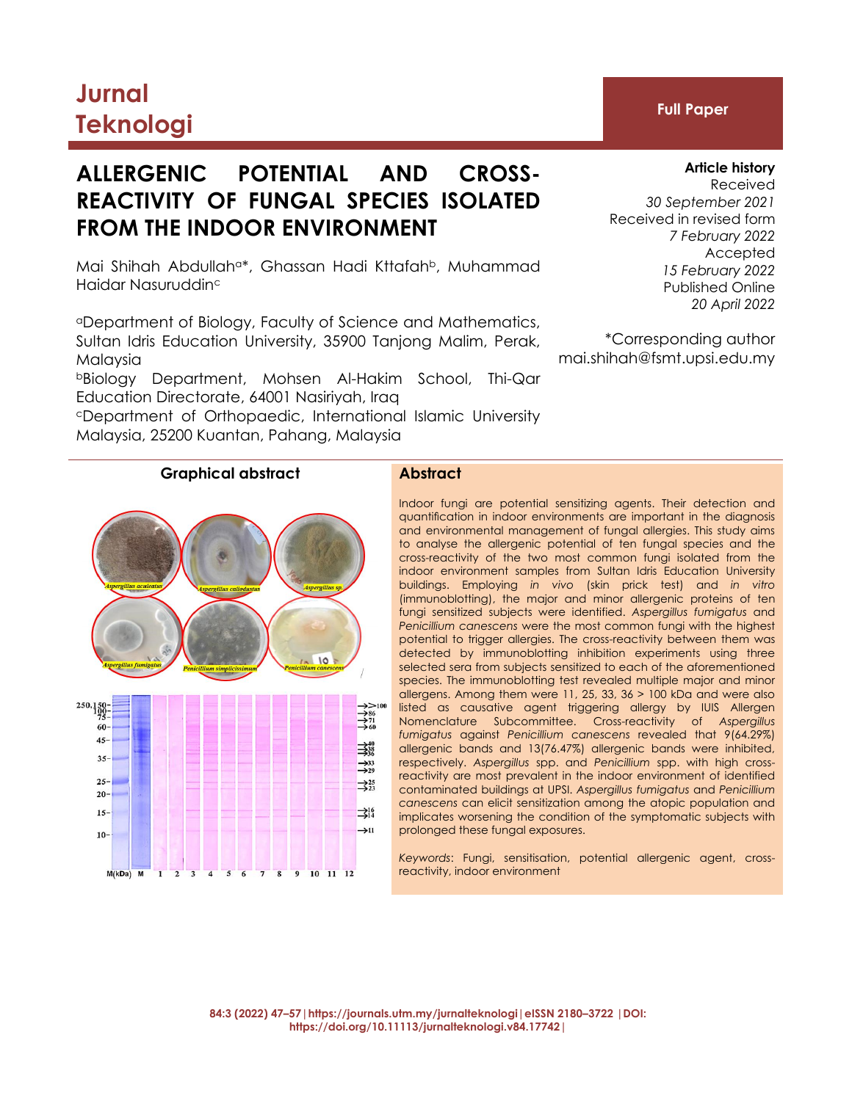# **Jurnal Teknologi Full Paper**

# **ALLERGENIC POTENTIAL AND CROSS-REACTIVITY OF FUNGAL SPECIES ISOLATED FROM THE INDOOR ENVIRONMENT**

Mai Shihah Abdullah<sup>a\*</sup>, Ghassan Hadi Kttafah<sup>b</sup>, Muhammad Haidar Nasuruddin<sup>c</sup>

<sup>a</sup>Department of Biology, Faculty of Science and Mathematics, Sultan Idris Education University, 35900 Tanjong Malim, Perak, Malaysia

<sup>b</sup>Biology Department, Mohsen Al-Hakim School, Thi-Qar Education Directorate, 64001 Nasiriyah, Iraq

<sup>c</sup>Department of Orthopaedic, International Islamic University Malaysia, 25200 Kuantan, Pahang, Malaysia

## **Article history** Received *30 September 2021* Received in revised form *7 February 2022* Accepted *15 February 2022* Published Online

*20 April 2022*

\*Corresponding author mai.shihah@fsmt.upsi.edu.my

# **Graphical abstract Abstract**

Indoor fungi are potential sensitizing agents. Their detection and quantification in indoor environments are important in the diagnosis and environmental management of fungal allergies. This study aims to analyse the allergenic potential of ten fungal species and the cross-reactivity of the two most common fungi isolated from the indoor environment samples from Sultan Idris Education University buildings. Employing *in vivo* (skin prick test) and *in vitro* (immunoblotting), the major and minor allergenic proteins of ten fungi sensitized subjects were identified. *Aspergillus fumigatus* and *Penicillium canescens* were the most common fungi with the highest potential to trigger allergies. The cross-reactivity between them was detected by immunoblotting inhibition experiments using three selected sera from subjects sensitized to each of the aforementioned species. The immunoblotting test revealed multiple major and minor allergens. Among them were 11, 25, 33, 36 > 100 kDa and were also listed as causative agent triggering allergy by IUIS Allergen Nomenclature Subcommittee. Cross-reactivity of *Aspergillus fumigatus* against *Penicillium canescens* revealed that 9(64.29%) allergenic bands and 13(76.47%) allergenic bands were inhibited, respectively. *Aspergillus* spp. and *Penicillium* spp. with high crossreactivity are most prevalent in the indoor environment of identified contaminated buildings at UPSI. *Aspergillus fumigatus* and *Penicillium canescens* can elicit sensitization among the atopic population and implicates worsening the condition of the symptomatic subjects with prolonged these fungal exposures.

*Keywords*: Fungi, sensitisation, potential allergenic agent, crossreactivity, indoor environment

**84:3 (2022) 47–57|https://journals.utm.my/jurnalteknologi|eISSN 2180–3722 |DOI: https://doi.org/10.11113/jurnalteknologi.v84.17742|**

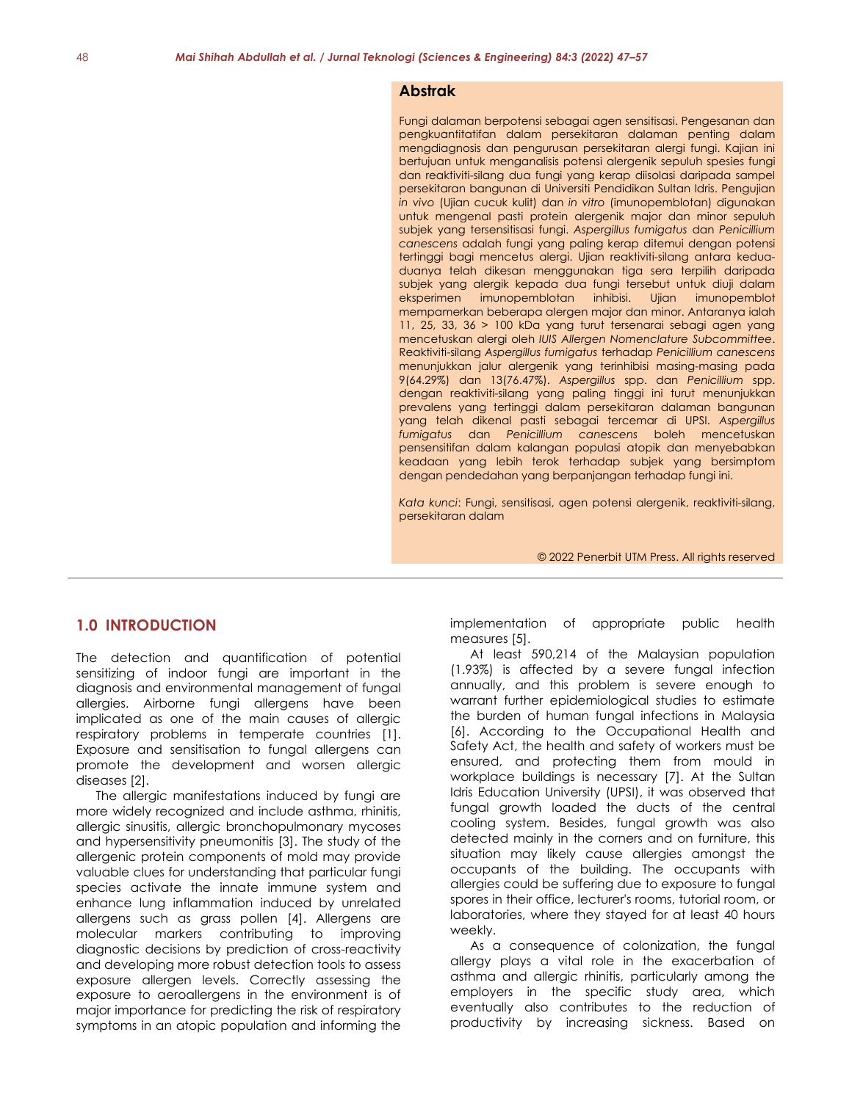### **Abstrak**

Fungi dalaman berpotensi sebagai agen sensitisasi. Pengesanan dan pengkuantitatifan dalam persekitaran dalaman penting dalam mengdiagnosis dan pengurusan persekitaran alergi fungi. Kajian ini bertujuan untuk menganalisis potensi alergenik sepuluh spesies fungi dan reaktiviti-silang dua fungi yang kerap diisolasi daripada sampel persekitaran bangunan di Universiti Pendidikan Sultan Idris. Pengujian *in vivo* (Ujian cucuk kulit) dan *in vitro* (imunopemblotan) digunakan untuk mengenal pasti protein alergenik major dan minor sepuluh subjek yang tersensitisasi fungi. *Aspergillus fumigatus* dan *Penicillium canescens* adalah fungi yang paling kerap ditemui dengan potensi tertinggi bagi mencetus alergi. Ujian reaktiviti-silang antara keduaduanya telah dikesan menggunakan tiga sera terpilih daripada subjek yang alergik kepada dua fungi tersebut untuk diuji dalam eksperimen imunopemblotan inhibisi. Ujian imunopemblot mempamerkan beberapa alergen major dan minor. Antaranya ialah 11, 25, 33, 36 > 100 kDa yang turut tersenarai sebagi agen yang mencetuskan alergi oleh *IUIS Allergen Nomenclature Subcommittee*. Reaktiviti-silang *Aspergillus fumigatus* terhadap *Penicillium canescens* menunjukkan jalur alergenik yang terinhibisi masing-masing pada 9(64.29%) dan 13(76.47%). *Aspergillus* spp. dan *Penicillium* spp. dengan reaktiviti-silang yang paling tinggi ini turut menunjukkan prevalens yang tertinggi dalam persekitaran dalaman bangunan yang telah dikenal pasti sebagai tercemar di UPSI. *Aspergillus fumigatus* dan *Penicillium canescens* boleh mencetuskan pensensitifan dalam kalangan populasi atopik dan menyebabkan keadaan yang lebih terok terhadap subjek yang bersimptom dengan pendedahan yang berpanjangan terhadap fungi ini.

*Kata kunci*: Fungi, sensitisasi, agen potensi alergenik, reaktiviti-silang, persekitaran dalam

© 2022 Penerbit UTM Press. All rights reserved

# **1.0 INTRODUCTION**

The detection and quantification of potential sensitizing of indoor fungi are important in the diagnosis and environmental management of fungal allergies. Airborne fungi allergens have been implicated as one of the main causes of allergic respiratory problems in temperate countries [1]. Exposure and sensitisation to fungal allergens can promote the development and worsen allergic diseases [2].

The allergic manifestations induced by fungi are more widely recognized and include asthma, rhinitis, allergic sinusitis, allergic bronchopulmonary mycoses and hypersensitivity pneumonitis [3]. The study of the allergenic protein components of mold may provide valuable clues for understanding that particular fungi species activate the innate immune system and enhance lung inflammation induced by unrelated allergens such as grass pollen [4]. Allergens are molecular markers contributing to improving diagnostic decisions by prediction of cross-reactivity and developing more robust detection tools to assess exposure allergen levels. Correctly assessing the exposure to aeroallergens in the environment is of major importance for predicting the risk of respiratory symptoms in an atopic population and informing the

implementation of appropriate public health measures [5].

At least 590,214 of the Malaysian population (1.93%) is affected by a severe fungal infection annually, and this problem is severe enough to warrant further epidemiological studies to estimate the burden of human fungal infections in Malaysia [6]. According to the Occupational Health and Safety Act, the health and safety of workers must be ensured, and protecting them from mould in workplace buildings is necessary [7]. At the Sultan Idris Education University (UPSI), it was observed that fungal growth loaded the ducts of the central cooling system. Besides, fungal growth was also detected mainly in the corners and on furniture, this situation may likely cause allergies amongst the occupants of the building. The occupants with allergies could be suffering due to exposure to fungal spores in their office, lecturer's rooms, tutorial room, or laboratories, where they stayed for at least 40 hours weekly.

As a consequence of colonization, the fungal allergy plays a vital role in the exacerbation of asthma and allergic rhinitis, particularly among the employers in the specific study area, which eventually also contributes to the reduction of productivity by increasing sickness. Based on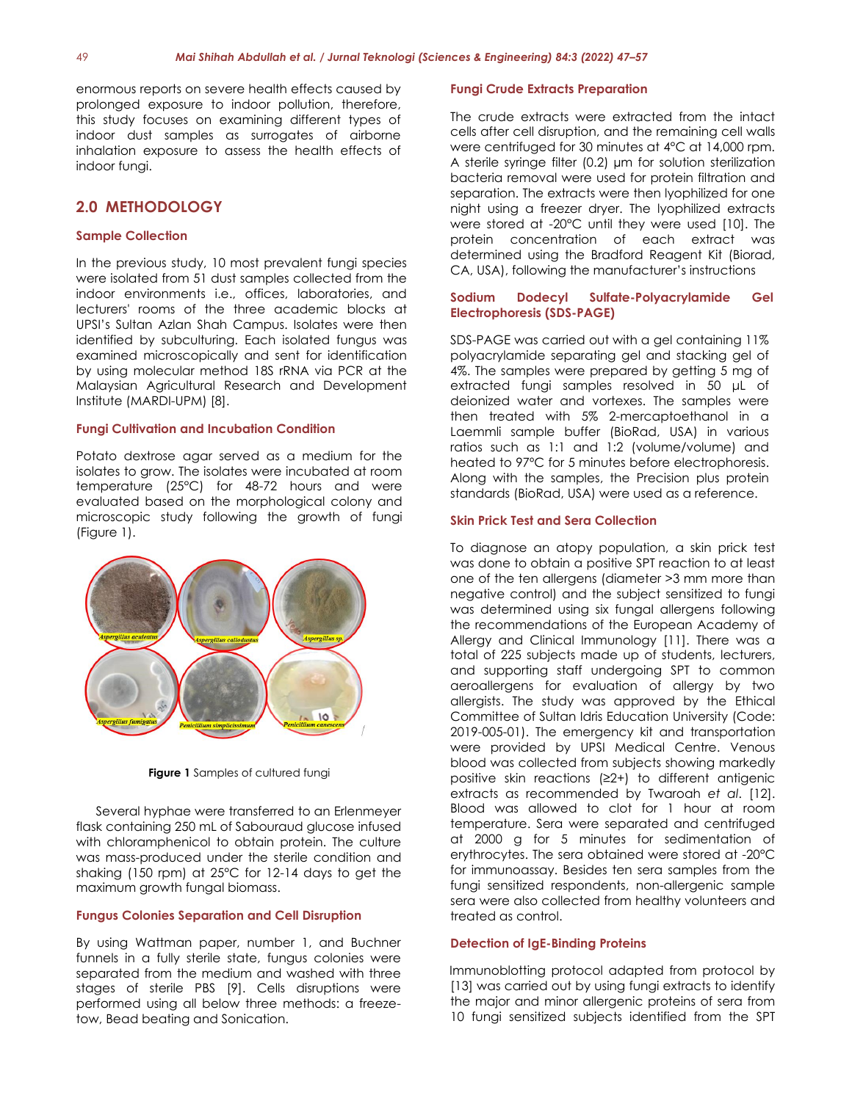enormous reports on severe health effects caused by prolonged exposure to indoor pollution, therefore, this study focuses on examining different types of indoor dust samples as surrogates of airborne inhalation exposure to assess the health effects of indoor fungi.

# **2.0 METHODOLOGY**

#### **Sample Collection**

In the previous study, 10 most prevalent fungi species were isolated from 51 dust samples collected from the indoor environments i.e., offices, laboratories, and lecturers' rooms of the three academic blocks at UPSI's Sultan Azlan Shah Campus. Isolates were then identified by subculturing. Each isolated fungus was examined microscopically and sent for identification by using molecular method 18S rRNA via PCR at the Malaysian Agricultural Research and Development Institute (MARDI-UPM) [8].

#### **Fungi Cultivation and Incubation Condition**

Potato dextrose agar served as a medium for the isolates to grow. The isolates were incubated at room temperature (25°C) for 48-72 hours and were evaluated based on the morphological colony and microscopic study following the growth of fungi (Figure 1).



**Figure 1** Samples of cultured fungi

Several hyphae were transferred to an Erlenmeyer flask containing 250 mL of Sabouraud glucose infused with chloramphenicol to obtain protein. The culture was mass-produced under the sterile condition and shaking (150 rpm) at 25°C for 12-14 days to get the maximum growth fungal biomass.

## **Fungus Colonies Separation and Cell Disruption**

By using Wattman paper, number 1, and Buchner funnels in a fully sterile state, fungus colonies were separated from the medium and washed with three stages of sterile PBS [9]. Cells disruptions were performed using all below three methods: a freezetow, Bead beating and Sonication.

#### **Fungi Crude Extracts Preparation**

The crude extracts were extracted from the intact cells after cell disruption, and the remaining cell walls were centrifuged for 30 minutes at 4°C at 14,000 rpm. A sterile syringe filter (0.2) µm for solution sterilization bacteria removal were used for protein filtration and separation. The extracts were then lyophilized for one night using a freezer dryer. The lyophilized extracts were stored at -20°C until they were used [10]. The protein concentration of each extract was determined using the Bradford Reagent Kit (Biorad, CA, USA), following the manufacturer's instructions

#### **Sodium Dodecyl Sulfate-Polyacrylamide Gel Electrophoresis (SDS-PAGE)**

SDS-PAGE was carried out with a gel containing 11% polyacrylamide separating gel and stacking gel of 4%. The samples were prepared by getting 5 mg of extracted fungi samples resolved in 50 μL of deionized water and vortexes. The samples were then treated with 5% 2-mercaptoethanol in a Laemmli sample buffer (BioRad, USA) in various ratios such as 1:1 and 1:2 (volume/volume) and heated to 97ºC for 5 minutes before electrophoresis. Along with the samples, the Precision plus protein standards (BioRad, USA) were used as a reference.

#### **Skin Prick Test and Sera Collection**

To diagnose an atopy population, a skin prick test was done to obtain a positive SPT reaction to at least one of the ten allergens (diameter >3 mm more than negative control) and the subject sensitized to fungi was determined using six fungal allergens following the recommendations of the European Academy of Allergy and Clinical Immunology [11]. There was a total of 225 subjects made up of students, lecturers, and supporting staff undergoing SPT to common aeroallergens for evaluation of allergy by two allergists. The study was approved by the Ethical Committee of Sultan Idris Education University (Code: 2019-005-01). The emergency kit and transportation were provided by UPSI Medical Centre. Venous blood was collected from subjects showing markedly positive skin reactions (≥2+) to different antigenic extracts as recommended by Twaroah *et al*. [12]. Blood was allowed to clot for 1 hour at room temperature. Sera were separated and centrifuged at 2000 g for 5 minutes for sedimentation of erythrocytes. The sera obtained were stored at -20°C for immunoassay. Besides ten sera samples from the fungi sensitized respondents, non-allergenic sample sera were also collected from healthy volunteers and treated as control.

#### **Detection of IgE-Binding Proteins**

Immunoblotting protocol adapted from protocol by [13] was carried out by using fungi extracts to identify the major and minor allergenic proteins of sera from 10 fungi sensitized subjects identified from the SPT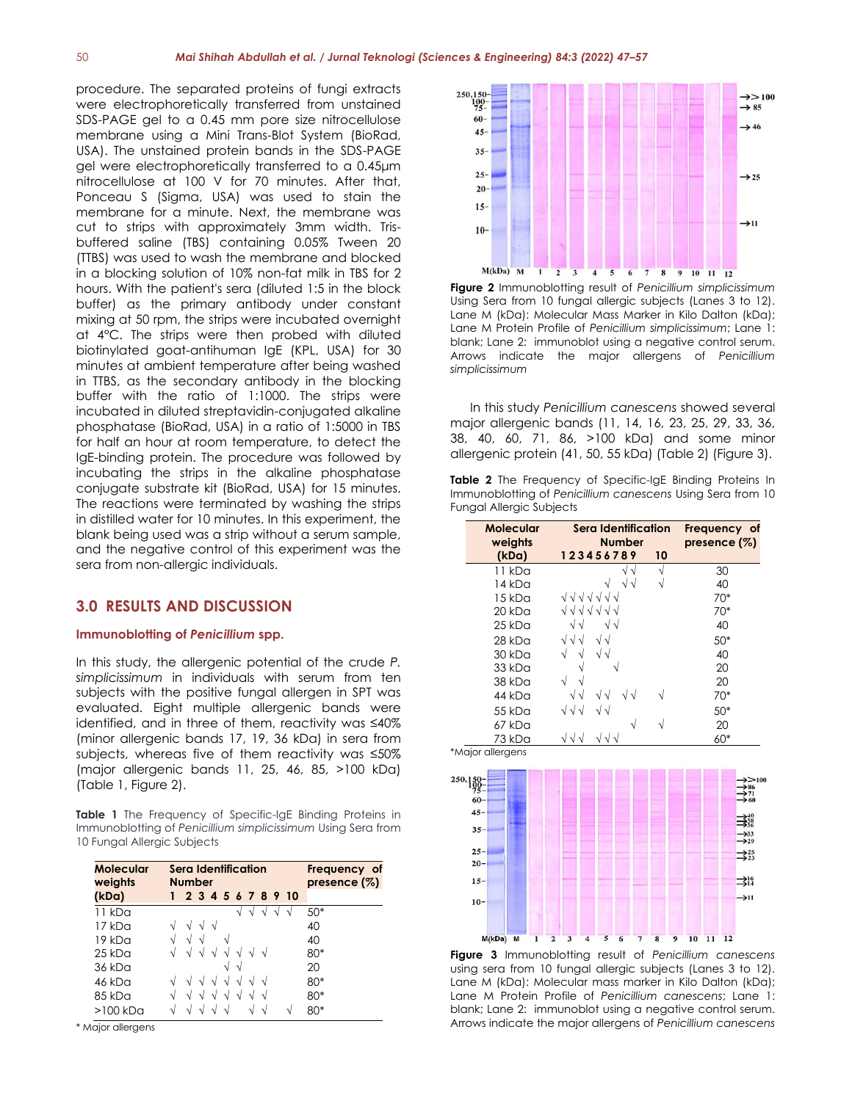procedure. The separated proteins of fungi extracts were electrophoretically transferred from unstained SDS-PAGE gel to a 0.45 mm pore size nitrocellulose membrane using a Mini Trans-Blot System (BioRad, USA). The unstained protein bands in the SDS-PAGE gel were electrophoretically transferred to a 0.45μm nitrocellulose at 100 V for 70 minutes. After that, Ponceau S (Sigma, USA) was used to stain the membrane for a minute. Next, the membrane was cut to strips with approximately 3mm width. Trisbuffered saline (TBS) containing 0.05% Tween 20 (TTBS) was used to wash the membrane and blocked in a blocking solution of 10% non-fat milk in TBS for 2 hours. With the patient's sera (diluted 1:5 in the block buffer) as the primary antibody under constant mixing at 50 rpm, the strips were incubated overnight at 4°C. The strips were then probed with diluted biotinylated goat-antihuman IgE (KPL, USA) for 30 minutes at ambient temperature after being washed in TTBS, as the secondary antibody in the blocking buffer with the ratio of 1:1000. The strips were incubated in diluted streptavidin-conjugated alkaline phosphatase (BioRad, USA) in a ratio of 1:5000 in TBS for half an hour at room temperature, to detect the IgE-binding protein. The procedure was followed by incubating the strips in the alkaline phosphatase conjugate substrate kit (BioRad, USA) for 15 minutes. The reactions were terminated by washing the strips in distilled water for 10 minutes. In this experiment, the blank being used was a strip without a serum sample, and the negative control of this experiment was the sera from non-allergic individuals.

# **3.0 RESULTS AND DISCUSSION**

### **Immunoblotting of** *Penicillium* **spp.**

In this study, the allergenic potential of the crude *P. simplicissimum* in individuals with serum from ten subjects with the positive fungal allergen in SPT was evaluated. Eight multiple allergenic bands were identified, and in three of them, reactivity was ≤40% (minor allergenic bands 17, 19, 36 kDa) in sera from subjects, whereas five of them reactivity was ≤50% (major allergenic bands 11, 25, 46, 85, >100 kDa) (Table 1, Figure 2).

**Table 1** The Frequency of Specific-IgE Binding Proteins in Immunoblotting of *Penicillium simplicissimum* Using Sera from 10 Fungal Allergic Subjects

| Molecular<br>weights |    | Sera Identification<br><b>Number</b> |            |            |            | Frequency of<br>presence $(\%)$ |    |            |                    |       |
|----------------------|----|--------------------------------------|------------|------------|------------|---------------------------------|----|------------|--------------------|-------|
| (kDa)                | 1  |                                      |            |            |            |                                 |    |            | 2 3 4 5 6 7 8 9 10 |       |
| 11 kDa               |    |                                      |            |            |            |                                 |    |            |                    | $50*$ |
| 17 kDa               |    |                                      | $\sqrt{ }$ | $\sqrt{ }$ |            |                                 |    |            |                    | 40    |
| 19 kDa               |    | N                                    | N          |            |            |                                 |    |            |                    | 40    |
| $25$ kDa             |    |                                      |            |            |            |                                 |    | $\sim$     |                    | 80*   |
| 36 kDa               |    |                                      |            |            |            | N                               |    |            |                    | 20    |
| 46 kDa               |    |                                      |            |            | $\sqrt{ }$ |                                 |    | $\sqrt{ }$ |                    | $80*$ |
| 85 kDa               |    |                                      |            |            |            |                                 |    | N          |                    | $80*$ |
| >100 kDa             | ٦Ι |                                      |            |            |            |                                 | ٦l | V          | V                  | 80*   |

\* Major allergens



**Figure 2** Immunoblotting result of *Penicillium simplicissimum* Using Sera from 10 fungal allergic subjects (Lanes 3 to 12). Lane M (kDa): Molecular Mass Marker in Kilo Dalton (kDa); Lane M Protein Profile of *Penicillium simplicissimum*; Lane 1: blank; Lane 2: immunoblot using a negative control serum. Arrows indicate the major allergens of *Penicillium simplicissimum*

In this study *Penicillium canescens* showed several major allergenic bands (11, 14, 16, 23, 25, 29, 33, 36, 38, 40, 60, 71, 86, >100 kDa) and some minor allergenic protein (41, 50, 55 kDa) (Table 2) (Figure 3).

**Table 2** The Frequency of Specific-IgE Binding Proteins In Immunoblotting of *Penicillium canescens* Using Sera from 10 Fungal Allergic Subjects

| <b>Molecular</b><br>weights | Sera Identification<br><b>Number</b> |    | Frequency of<br>presence $(\%)$ |
|-----------------------------|--------------------------------------|----|---------------------------------|
| (KDa)                       | 123456789                            | 10 |                                 |
| 11 kDa                      |                                      | N  | 30                              |
| 14 kDa                      | ิง√                                  | N  | 40                              |
| 15 kDa                      | <b>11111111</b>                      |    | 70*                             |
| 20 kDa                      | くくくくくく                               |    | 70*                             |
| 25 kDa                      | $\sqrt{ }$<br>VV                     |    | 40                              |
| $28$ kDa                    | VV<br>VVV                            |    | $50*$                           |
| 30 kDa                      | $\sqrt{\sqrt{2}}$                    |    | 40                              |
| 33 kDa                      |                                      |    | 20                              |
| 38 kDa                      | $\sqrt{ }$                           |    | 20                              |
| 44 kDa                      | $\sqrt{\sqrt{2}}$                    | V  | 70*                             |
| $55$ kDa                    | $\sqrt{\sqrt{2}}$<br>VVV             |    | $50*$                           |
| 67 kDa                      | V                                    | V  | 20                              |
| 73 kDa                      |                                      |    | 60*                             |
| *Major allergens            |                                      |    |                                 |



**Figure 3** Immunoblotting result of *Penicillium canescens* using sera from 10 fungal allergic subjects (Lanes 3 to 12). Lane M (kDa): Molecular mass marker in Kilo Dalton (kDa); Lane M Protein Profile of *Penicillium canescens*; Lane 1: blank; Lane 2: immunoblot using a negative control serum. Arrows indicate the major allergens of *Penicillium canescens*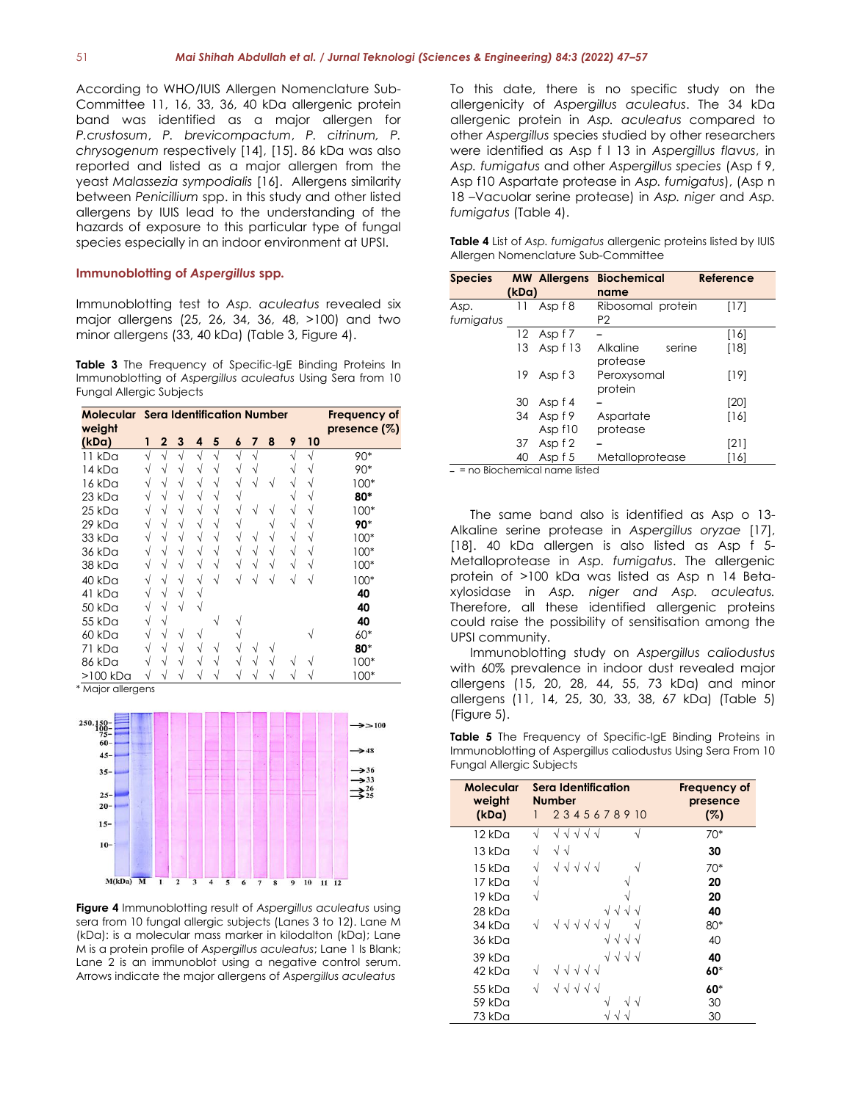According to WHO/IUIS Allergen Nomenclature Sub-Committee 11, 16, 33, 36, 40 kDa allergenic protein band was identified as a major allergen for *P.crustosum*, *P. brevicompactum*, *P. citrinum, P. chrysogenum* respectively [14], [15]. 86 kDa was also reported and listed as a major allergen from the yeast *Malassezia sympodialis* [16]. Allergens similarity between *Penicillium* spp. in this study and other listed allergens by IUIS lead to the understanding of the hazards of exposure to this particular type of fungal species especially in an indoor environment at UPSI.

#### **Immunoblotting of** *Aspergillus* **spp***.*

Immunoblotting test to *Asp. aculeatus* revealed six major allergens (25, 26, 34, 36, 48, >100) and two minor allergens (33, 40 kDa) (Table 3, Figure 4).

**Table 3** The Frequency of Specific-IgE Binding Proteins In Immunoblotting of *Aspergillus aculeatus* Using Sera from 10 Fungal Allergic Subjects

| <b>Molecular</b> Sera Identification Number<br>weight |           |                |   |            |   | Frequency of<br>presence (%) |   |   |   |    |        |
|-------------------------------------------------------|-----------|----------------|---|------------|---|------------------------------|---|---|---|----|--------|
| (kDa)                                                 | 1         | $\overline{2}$ | 3 | 4          | 5 | 6                            | 7 | 8 | 9 | 10 |        |
| 11 kDa                                                | V         | V              | V | $\sqrt{ }$ | V | N                            | V |   | V | V  | 90*    |
| 14 kDa                                                | V         | V              | V | V          | V | V                            |   |   |   |    | 90*    |
| 16 kDa                                                | V         | V              | V | V          |   |                              |   |   |   |    | $100*$ |
| 23 kDa                                                | V         | V              | V | V          |   | N                            |   |   |   |    | 80*    |
| 25 kDa                                                | V         | V              | V | V          |   |                              | N |   |   |    | $100*$ |
| 29 kDa                                                | V         | V              |   | V          |   |                              |   |   |   |    | 90*    |
| 33 kDa                                                | V         | V              | V | V          | V | V                            | V | V | N |    | $100*$ |
| 36 kDa                                                | $\sqrt{}$ | V              | V | V          | V | V                            | V | V | N |    | $100*$ |
| 38 kDa                                                | V         | V              | V | V          | V |                              |   |   |   |    | $100*$ |
| 40 kDa                                                | $\sqrt{}$ | V              | V | V          | V |                              |   |   |   |    | $100*$ |
| 41 kDa                                                | $\sqrt{}$ | V              | V |            |   |                              |   |   |   |    | 40     |
| 50 kDa                                                | V         | V              |   |            |   |                              |   |   |   |    | 40     |
| 55 kDa                                                | V         | V              |   |            |   |                              |   |   |   |    | 40     |
| 60 kDa                                                | $\sqrt{}$ | V              | V | ν          |   |                              |   |   |   |    | 60*    |
| 71 kDa                                                | V         | V              | V | V          |   |                              | V |   |   |    | 80*    |
| 86 kDa                                                | V         |                |   | V          |   |                              |   |   |   |    | $100*$ |
| >100 kDa                                              |           |                |   |            |   |                              |   |   |   |    | $100*$ |

\* Major allergens



**Figure 4** Immunoblotting result of *Aspergillus aculeatus* using sera from 10 fungal allergic subjects (Lanes 3 to 12). Lane M (kDa): is a molecular mass marker in kilodalton (kDa); Lane M is a protein profile of *Aspergillus aculeatus*; Lane 1 Is Blank; Lane 2 is an immunoblot using a negative control serum. Arrows indicate the major allergens of *Aspergillus aculeatus*

To this date, there is no specific study on the allergenicity of *Aspergillus aculeatus*. The 34 kDa allergenic protein in *Asp. aculeatus* compared to other *Aspergillus* species studied by other researchers were identified as Asp f l 13 in *Aspergillus flavus*, in *Asp. fumigatus* and other *Aspergillus species* (Asp f 9, Asp f10 Aspartate protease in *Asp. fumigatus*), (Asp n 18 –Vacuolar serine protease) in *Asp. niger* and *Asp. fumigatus* (Table 4).

| <b>Table 4</b> List of Asp. fumigatus allergenic proteins listed by IUIS |
|--------------------------------------------------------------------------|
| Allergen Nomenclature Sub-Committee                                      |

| Species   |       | <b>MW Allergens</b> | <b>Biochemical</b> | Reference |
|-----------|-------|---------------------|--------------------|-----------|
|           | (kDa) |                     | name               |           |
| Asp.      | 11    | Asp f 8             | Ribosomal protein  | [17]      |
| fumigatus |       |                     | P <sub>2</sub>     |           |
|           | 12    | Asp f 7             |                    | [16]      |
|           | 13    | Asp f 13            | Alkaline<br>serine | [18]      |
|           |       |                     | protease           |           |
|           | 19    | Asp f 3             | Peroxysomal        | [19]      |
|           |       |                     | protein            |           |
|           | 30    | Asp f 4             |                    | [20]      |
|           | 34    | Asp f 9             | Aspartate          | [16]      |
|           |       | Asp f10             | protease           |           |
|           | 37    | Asp f 2             |                    | [21]      |
|           | 40    | Asp f 5             | Metalloprotease    | [16]      |

ــ = no Biochemical name listed

The same band also is identified as Asp o 13- Alkaline serine protease in *Aspergillus oryzae* [17], [18]. 40 kDa allergen is also listed as Asp f 5- Metalloprotease in *Asp. fumigatus*. The allergenic protein of >100 kDa was listed as Asp n 14 Betaxylosidase in *Asp. niger and Asp. aculeatus.*  Therefore, all these identified allergenic proteins could raise the possibility of sensitisation among the UPSI community.

Immunoblotting study on *Aspergillus caliodustus* with 60% prevalence in indoor dust revealed major allergens (15, 20, 28, 44, 55, 73 kDa) and minor allergens (11, 14, 25, 30, 33, 38, 67 kDa) (Table 5) (Figure 5).

**Table 5** The Frequency of Specific-IgE Binding Proteins in Immunoblotting of Aspergillus caliodustus Using Sera From 10 Fungal Allergic Subjects

| <b>Molecular</b><br>weight | Sera Identification<br><b>Number</b>             | Frequency of<br>presence |
|----------------------------|--------------------------------------------------|--------------------------|
| (kDa)                      | 2345678910                                       | (%)                      |
| 12 kDa                     | √<br>$\sqrt{ }$<br>$\sqrt{ }$<br>$\sqrt{1}$<br>V | 70*                      |
| $13$ kDa                   | $\sqrt{V}$<br>V                                  | 30                       |
| 15 kDa                     | v v v v v                                        | $70*$                    |
| 17 kDa                     | N                                                | 20                       |
| 19 kDa                     | N                                                | 20                       |
| 28 kDa                     | √√√                                              | 40                       |
| 34 kDa                     | イイイイイ                                            | $80*$                    |
| 36 kDa                     | งงงง                                             | 40                       |
| 39kDa                      | VVVV                                             | 40                       |
| 42 kDa                     | v v v v v<br>V                                   | 60*                      |
| 55 kDa                     | V V V V V                                        | 60*                      |
| 59 kDa                     | V                                                | 30                       |
| 73 kDa                     |                                                  | 30                       |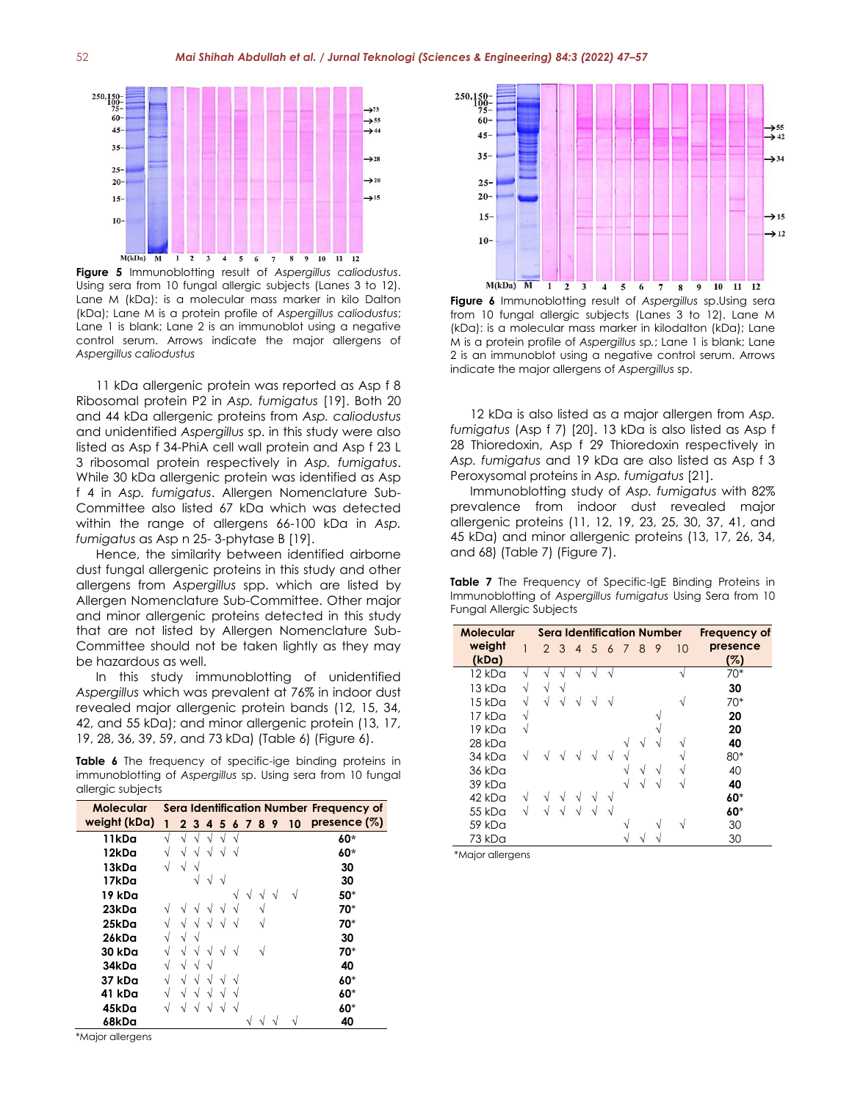

**Figure 5** Immunoblotting result of *Aspergillus caliodustus*. Using sera from 10 fungal allergic subjects (Lanes 3 to 12). Lane M (kDa): is a molecular mass marker in kilo Dalton (kDa); Lane M is a protein profile of *Aspergillus caliodustus*; Lane 1 is blank; Lane 2 is an immunoblot using a negative control serum. Arrows indicate the major allergens of *Aspergillus caliodustus*

11 kDa allergenic protein was reported as Asp f 8 Ribosomal protein P2 in *Asp. fumigatus* [19]. Both 20 and 44 kDa allergenic proteins from *Asp. caliodustus* and unidentified *Aspergillus* sp. in this study were also listed as Asp f 34-PhiA cell wall protein and Asp f 23 L 3 ribosomal protein respectively in *Asp. fumigatus*. While 30 kDa allergenic protein was identified as Asp f 4 in *Asp. fumigatus*. Allergen Nomenclature Sub-Committee also listed 67 kDa which was detected within the range of allergens 66-100 kDa in *Asp. fumigatus* as Asp n 25- 3-phytase B [19].

Hence, the similarity between identified airborne dust fungal allergenic proteins in this study and other allergens from *Aspergillus* spp. which are listed by Allergen Nomenclature Sub-Committee. Other major and minor allergenic proteins detected in this study that are not listed by Allergen Nomenclature Sub-Committee should not be taken lightly as they may be hazardous as well.

In this study immunoblotting of unidentified *Aspergillus* which was prevalent at 76% in indoor dust revealed major allergenic protein bands (12, 15, 34, 42, and 55 kDa); and minor allergenic protein (13, 17, 19, 28, 36, 39, 59, and 73 kDa) (Table 6) (Figure 6).

**Table 6** The frequency of specific-ige binding proteins in immunoblotting of *Aspergillus* sp. Using sera from 10 fungal allergic subjects

| Molecular     |    |              |   |   |   |   |   |   |   |    | Sera Identification Number Frequency of |
|---------------|----|--------------|---|---|---|---|---|---|---|----|-----------------------------------------|
| weight (kDa)  | 1  | $\mathbf{2}$ | 3 | 4 | 5 | 6 | 7 | 8 | 9 | 10 | presence $(%)$                          |
| 11kDa         | N  |              |   | N |   | N |   |   |   |    | 60*                                     |
| 12kDa         |    |              |   | V |   |   |   |   |   |    | 60*                                     |
| 13kDa         | V  |              |   |   |   |   |   |   |   |    | 30                                      |
| 17kDa         |    |              | ٦ | V | N |   |   |   |   |    | 30                                      |
| 19 kDa        |    |              |   |   |   | V | N |   | N |    | 50*                                     |
| 23kDa         |    |              |   |   |   | ٦ |   |   |   |    | 70*                                     |
| 25kDa         | V  |              |   |   |   | N |   |   |   |    | 70*                                     |
| 26kDa         | ٦l |              |   |   |   |   |   |   |   |    | 30                                      |
| <b>30 kDa</b> |    |              |   |   |   | N |   |   |   |    | 70*                                     |
| 34kDa         | V  |              | N |   |   |   |   |   |   |    | 40                                      |
| 37 kDa        | V  |              | V | V |   | N |   |   |   |    | 60*                                     |
| 41 kDa        | V  |              |   | V |   |   |   |   |   |    | 60*                                     |
| 45kDa         | V  |              |   |   |   |   |   |   |   |    | 60*                                     |
| 68kDa         |    |              |   |   |   |   |   |   |   |    | 40                                      |

\*Major allergens



**Figure 6** Immunoblotting result of *Aspergillus* sp.Using sera from 10 fungal allergic subjects (Lanes 3 to 12). Lane M (kDa): is a molecular mass marker in kilodalton (kDa); Lane M is a protein profile of *Aspergillus* sp*.*; Lane 1 is blank; Lane 2 is an immunoblot using a negative control serum. Arrows indicate the major allergens of *Aspergillus* sp.

12 kDa is also listed as a major allergen from *Asp. fumigatus* (Asp f 7) [20]. 13 kDa is also listed as Asp f 28 Thioredoxin, Asp f 29 Thioredoxin respectively in *Asp. fumigatus* and 19 kDa are also listed as Asp f 3 Peroxysomal proteins in *Asp. fumigatus* [21].

Immunoblotting study of *Asp. fumigatus* with 82% prevalence from indoor dust revealed major allergenic proteins (11, 12, 19, 23, 25, 30, 37, 41, and 45 kDa) and minor allergenic proteins (13, 17, 26, 34, and 68) (Table 7) (Figure 7).

|                          |  |  | <b>Table 7</b> The Frequency of Specific-IgE Binding Proteins in |  |  |
|--------------------------|--|--|------------------------------------------------------------------|--|--|
|                          |  |  | Immunoblotting of Aspergillus fumigatus Using Sera from 10       |  |  |
| Fungal Allergic Subjects |  |  |                                                                  |  |  |

| Molecular |   | <b>Sera Identification Number</b> |     |                | Frequency of |              |   |   |    |          |
|-----------|---|-----------------------------------|-----|----------------|--------------|--------------|---|---|----|----------|
| weight    |   |                                   | 2 3 | $\overline{4}$ | $5\quad6$    | 7            | 8 | 9 | 10 | presence |
| (kDa)     |   |                                   |     |                |              |              |   |   |    | (%)      |
| 12 kDa    | À |                                   |     |                |              |              |   |   |    | $70*$    |
| $13$ kDa  | V |                                   |     |                |              |              |   |   |    | 30       |
| $15$ kDa  | V |                                   |     |                |              |              |   |   |    | $70*$    |
| 17kDa     | V |                                   |     |                |              |              |   |   |    | 20       |
| 19 kDa    | V |                                   |     |                |              |              |   |   |    | 20       |
| 28 kDa    |   |                                   |     |                |              |              | N |   |    | 40       |
| $34$ kDa  | V |                                   |     |                |              |              |   |   |    | 80*      |
| 36 kDa    |   |                                   |     |                |              | N            | V | V |    | 40       |
| 39 kDa    |   |                                   |     |                |              | N            |   |   |    | 40       |
| 42 kDa    |   |                                   |     |                | N            |              |   |   |    | 60*      |
| 55 kDa    | V |                                   |     |                |              |              |   |   |    | 60*      |
| 59 kDa    |   |                                   |     |                |              | $\mathbf{v}$ |   |   |    | 30       |
| 73 kDa    |   |                                   |     |                |              |              |   |   |    | 30       |

\*Major allergens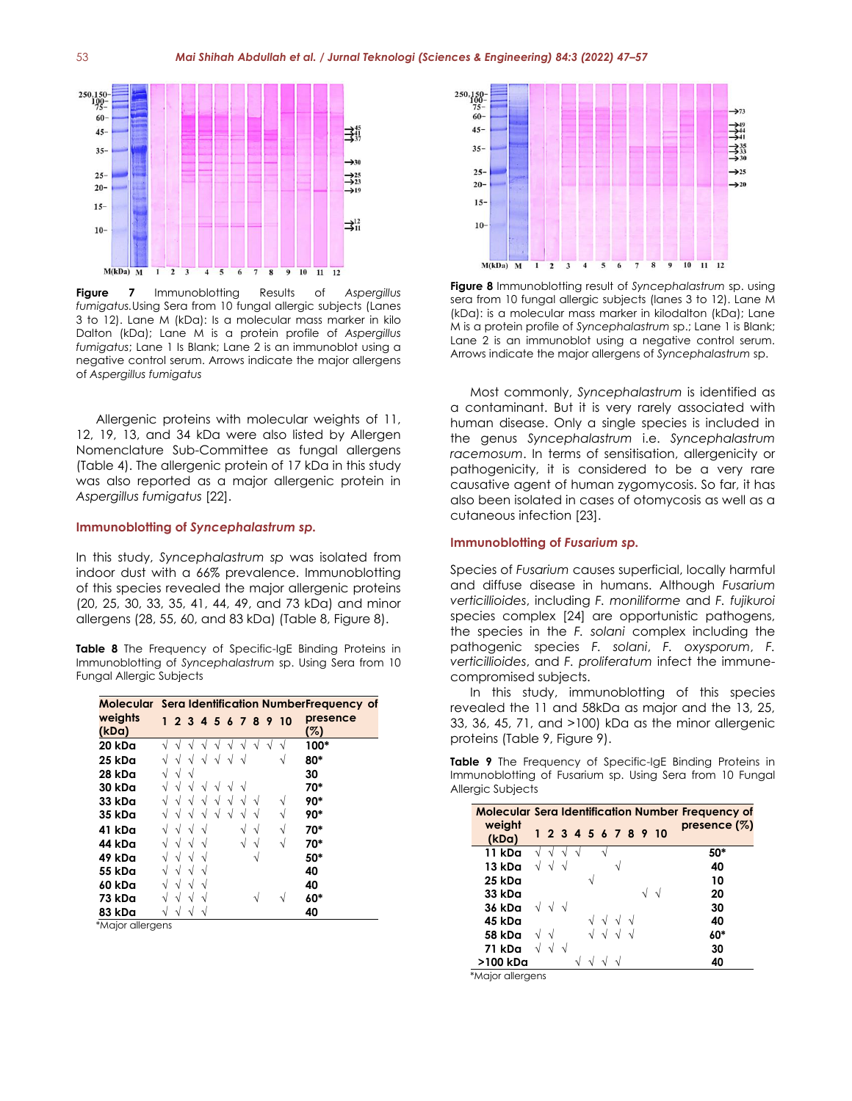

**Figure 7** Immunoblotting Results of *Aspergillus fumigatus.*Using Sera from 10 fungal allergic subjects (Lanes 3 to 12). Lane M (kDa): Is a molecular mass marker in kilo Dalton (kDa); Lane M is a protein profile of *Aspergillus fumigatus*; Lane 1 Is Blank; Lane 2 is an immunoblot using a negative control serum. Arrows indicate the major allergens of *Aspergillus fumigatus*

Allergenic proteins with molecular weights of 11, 12, 19, 13, and 34 kDa were also listed by Allergen Nomenclature Sub-Committee as fungal allergens (Table 4). The allergenic protein of 17 kDa in this study was also reported as a major allergenic protein in *Aspergillus fumigatus* [22].

#### **Immunoblotting of** *Syncephalastrum sp.*

In this study, *Syncephalastrum sp* was isolated from indoor dust with a 66% prevalence. Immunoblotting of this species revealed the major allergenic proteins (20, 25, 30, 33, 35, 41, 44, 49, and 73 kDa) and minor allergens (28, 55, 60, and 83 kDa) (Table 8, Figure 8).

**Table 8** The Frequency of Specific-IgE Binding Proteins in Immunoblotting of *Syncephalastrum* sp. Using Sera from 10 Fungal Allergic Subjects

|         |  |  |  |  |                      | Molecular Sera Identification NumberFrequency of |
|---------|--|--|--|--|----------------------|--------------------------------------------------|
| weights |  |  |  |  | 1 2 3 4 5 6 7 8 9 10 | presence                                         |
| (kDa)   |  |  |  |  |                      | (%)                                              |
| 20 kDa  |  |  |  |  |                      | 100*                                             |
| 25 kDa  |  |  |  |  |                      | 80*                                              |
| 28 kDa  |  |  |  |  |                      | 30                                               |
| 30 kDa  |  |  |  |  |                      | 70*                                              |
| 33 kDa  |  |  |  |  | N                    | 90*                                              |
| 35 kDa  |  |  |  |  | ٦                    | 90*                                              |
| 41 kDa  |  |  |  |  | N                    | 70*                                              |
| 44 kDa  |  |  |  |  | À                    | 70*                                              |
| 49 kDa  |  |  |  |  |                      | 50*                                              |
| 55 kDa  |  |  |  |  |                      | 40                                               |
| 60 kDa  |  |  |  |  |                      | 40                                               |
| 73 kDa  |  |  |  |  |                      | 60*                                              |
| 83 kDa  |  |  |  |  |                      | 40                                               |

\*Major allergens



**Figure 8** Immunoblotting result of *Syncephalastrum* sp. using sera from 10 fungal allergic subjects (lanes 3 to 12). Lane M (kDa): is a molecular mass marker in kilodalton (kDa); Lane M is a protein profile of *Syncephalastrum* sp.; Lane 1 is Blank; Lane 2 is an immunoblot using a negative control serum. Arrows indicate the major allergens of *Syncephalastrum* sp.

Most commonly, *Syncephalastrum* is identified as a contaminant. But it is very rarely associated with human disease. Only a single species is included in the genus *Syncephalastrum* i.e. *Syncephalastrum racemosum*. In terms of sensitisation, allergenicity or pathogenicity, it is considered to be a very rare causative agent of human zygomycosis. So far, it has also been isolated in cases of otomycosis as well as a cutaneous infection [23].

#### **Immunoblotting of** *Fusarium sp.*

Species of *Fusarium* causes superficial, locally harmful and diffuse disease in humans. Although *Fusarium verticillioides*, including *F. moniliforme* and *F. fujikuroi* species complex [24] are opportunistic pathogens, the species in the *F. solani* complex including the pathogenic species *F. solani*, *F. oxysporum*, *F. verticillioides*, and *F. proliferatum* infect the immunecompromised subjects.

In this study, immunoblotting of this species revealed the 11 and 58kDa as major and the 13, 25, 33, 36, 45, 71, and >100) kDa as the minor allergenic proteins (Table 9, Figure 9).

**Table 9** The Frequency of Specific-IgE Binding Proteins in Immunoblotting of Fusarium sp. Using Sera from 10 Fungal Allergic Subjects

|                 |                  |  |  |  |                      | <b>Molecular Sera Identification Number Frequency of</b> |
|-----------------|------------------|--|--|--|----------------------|----------------------------------------------------------|
| weight<br>(kDa) |                  |  |  |  | 1 2 3 4 5 6 7 8 9 10 | presence $(\%)$                                          |
| 11 kDa          |                  |  |  |  |                      | 50*                                                      |
| 13 kDa          |                  |  |  |  |                      | 40                                                       |
| 25 kDa          |                  |  |  |  |                      | 10                                                       |
| 33 kDa          |                  |  |  |  |                      | 20                                                       |
| 36 kDa          | $\sqrt{\sqrt{}}$ |  |  |  |                      | 30                                                       |
| 45 kDa          |                  |  |  |  |                      | 40                                                       |
| 58 kDa          | $\sqrt{ }$       |  |  |  |                      | 60*                                                      |
| 71 kDa          |                  |  |  |  |                      | 30                                                       |
| >100 kDa        |                  |  |  |  |                      | 40                                                       |

\*Major allergens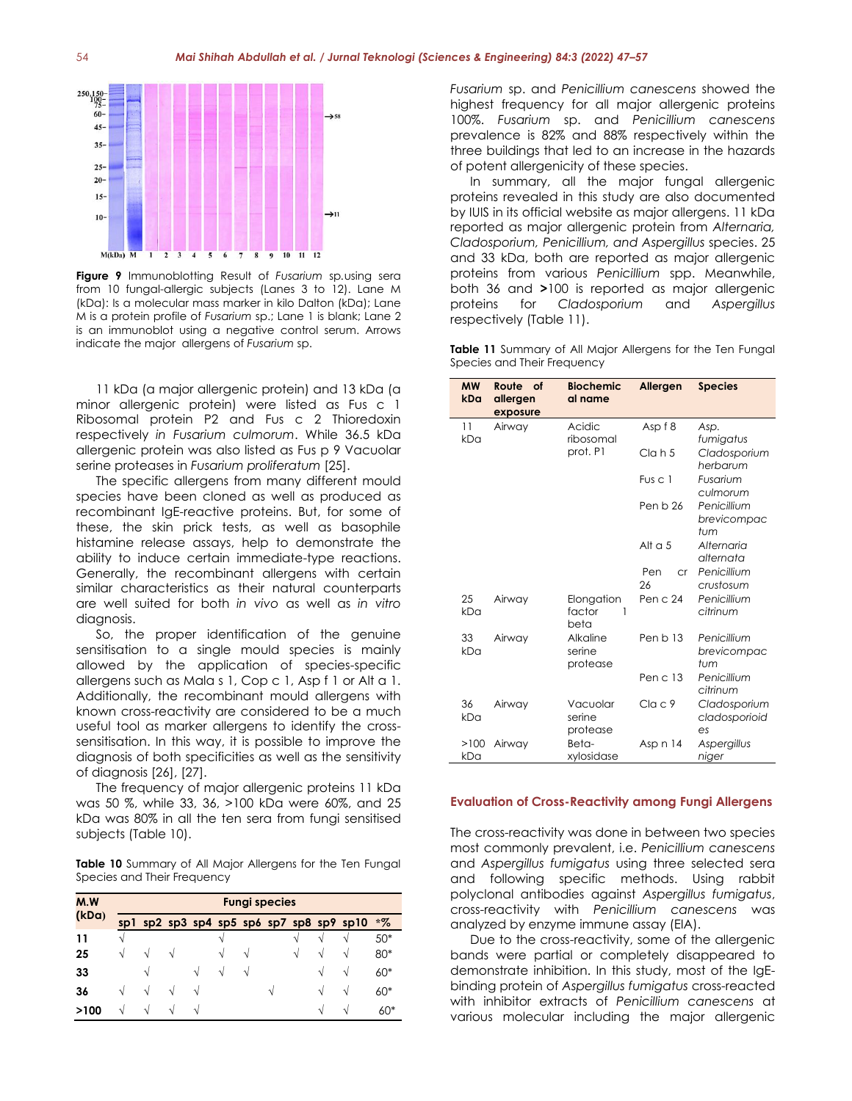

**Figure 9** Immunoblotting Result of *Fusarium* sp*.*using sera from 10 fungal-allergic subjects (Lanes 3 to 12). Lane M (kDa): Is a molecular mass marker in kilo Dalton (kDa); Lane M is a protein profile of *Fusarium* sp.; Lane 1 is blank; Lane 2 is an immunoblot using a negative control serum. Arrows indicate the major allergens of *Fusarium* sp.

11 kDa (a major allergenic protein) and 13 kDa (a minor allergenic protein) were listed as Fus c 1 Ribosomal protein P2 and Fus c 2 Thioredoxin respectively *in Fusarium culmorum*. While 36.5 kDa allergenic protein was also listed as Fus p 9 Vacuolar serine proteases in *Fusarium proliferatum* [25].

The specific allergens from many different mould species have been cloned as well as produced as recombinant IgE-reactive proteins. But, for some of these, the skin prick tests, as well as basophile histamine release assays, help to demonstrate the ability to induce certain immediate-type reactions. Generally, the recombinant allergens with certain similar characteristics as their natural counterparts are well suited for both *in vivo* as well as *in vitro* diagnosis.

So, the proper identification of the genuine sensitisation to a single mould species is mainly allowed by the application of species-specific allergens such as Mala s 1, Cop c 1, Asp f 1 or Alt a 1. Additionally, the recombinant mould allergens with known cross-reactivity are considered to be a much useful tool as marker allergens to identify the crosssensitisation. In this way, it is possible to improve the diagnosis of both specificities as well as the sensitivity of diagnosis [26], [27].

The frequency of major allergenic proteins 11 kDa was 50 %, while 33, 36, >100 kDa were 60%, and 25 kDa was 80% in all the ten sera from fungi sensitised subjects (Table 10).

**Table 10** Summary of All Major Allergens for the Ten Fungal Species and Their Frequency

| M.W   |   | <b>Fungi species</b> |   |   |   |   |   |   |   |                                          |       |  |  |  |  |  |
|-------|---|----------------------|---|---|---|---|---|---|---|------------------------------------------|-------|--|--|--|--|--|
| (kDa) |   |                      |   |   |   |   |   |   |   | sp1 sp2 sp3 sp4 sp5 sp6 sp7 sp8 sp9 sp10 | $*$ % |  |  |  |  |  |
| 11    | V |                      |   |   | N |   |   | N |   | N                                        | $50*$ |  |  |  |  |  |
| 25    | V | N                    | N |   | V | N |   | V | V | N                                        | 80*   |  |  |  |  |  |
| 33    |   | V                    |   | V | V | N |   |   | V | V                                        | 60*   |  |  |  |  |  |
| 36    | N | N                    | V | V |   |   | N |   | V | V                                        | 60*   |  |  |  |  |  |
| >100  | N | N                    | V | N |   |   |   |   | V | N                                        | $60*$ |  |  |  |  |  |

*Fusarium* sp. and *Penicillium canescens* showed the highest frequency for all major allergenic proteins 100%. *Fusarium* sp. and *Penicillium canescens*  prevalence is 82% and 88% respectively within the three buildings that led to an increase in the hazards of potent allergenicity of these species.

In summary, all the major fungal allergenic proteins revealed in this study are also documented by IUIS in its official website as major allergens. 11 kDa reported as major allergenic protein from *Alternaria, Cladosporium, Penicillium, and Aspergillus* species. 25 and 33 kDa, both are reported as major allergenic proteins from various *Penicillium* spp. Meanwhile, both 36 and **>**100 is reported as major allergenic proteins for *Cladosporium* and *Aspergillus*  respectively (Table 11).

|  |                             |  | <b>Table 11</b> Summary of All Major Allergens for the Ten Fungal |  |  |  |
|--|-----------------------------|--|-------------------------------------------------------------------|--|--|--|
|  | Species and Their Frequency |  |                                                                   |  |  |  |

| <b>MW</b><br>kDa | Route<br>of<br>allergen<br>exposure | <b>Biochemic</b><br>al name                | Allergen               | <b>Species</b>                      |
|------------------|-------------------------------------|--------------------------------------------|------------------------|-------------------------------------|
| 11<br>kDa        | Airway                              | Acidic<br>ribosomal                        | Asp f 8                | Asp.<br>fumigatus                   |
|                  |                                     | prot. P1<br>Cl <sub>G</sub> h <sub>5</sub> |                        | Cladosporium<br>herbarum            |
|                  |                                     |                                            | Fus c 1                | Fusarium<br>culmorum                |
|                  |                                     |                                            | Pen b 26               | Penicillium<br>brevicompac<br>tum   |
|                  |                                     |                                            | Alt $a5$               | Alternaria<br>alternata             |
|                  |                                     |                                            | Pen<br><b>cr</b><br>26 | Penicillium<br>crustosum            |
| 25<br>kDa        | Airway                              | Elongation<br>factor<br>1<br>beta          | Pen c 24               | Penicillium<br>citrinum             |
| 33<br>kDa        | Airway                              | Alkaline<br>serine<br>protease             | Pen b 13               | Penicillium<br>brevicompac<br>tum   |
|                  |                                     |                                            | Pen $c13$              | Penicillium<br>citrinum             |
| 36<br>kDa        | Airway                              | Vacuolar<br>serine<br>protease             | Cla c 9                | Cladosporium<br>cladosporioid<br>es |
| >100<br>kDa      | Airway                              | Beta-<br>xylosidase                        | Asp n 14               | Aspergillus<br>niger                |

#### **Evaluation of Cross-Reactivity among Fungi Allergens**

The cross-reactivity was done in between two species most commonly prevalent, i.e. *Penicillium canescens*  and *Aspergillus fumigatus* using three selected sera and following specific methods. Using rabbit polyclonal antibodies against *Aspergillus fumigatus*, cross-reactivity with *Penicillium canescens* was analyzed by enzyme immune assay (EIA).

Due to the cross-reactivity, some of the allergenic bands were partial or completely disappeared to demonstrate inhibition. In this study, most of the IgEbinding protein of *Aspergillus fumigatus* cross-reacted with inhibitor extracts of *Penicillium canescens* at various molecular including the major allergenic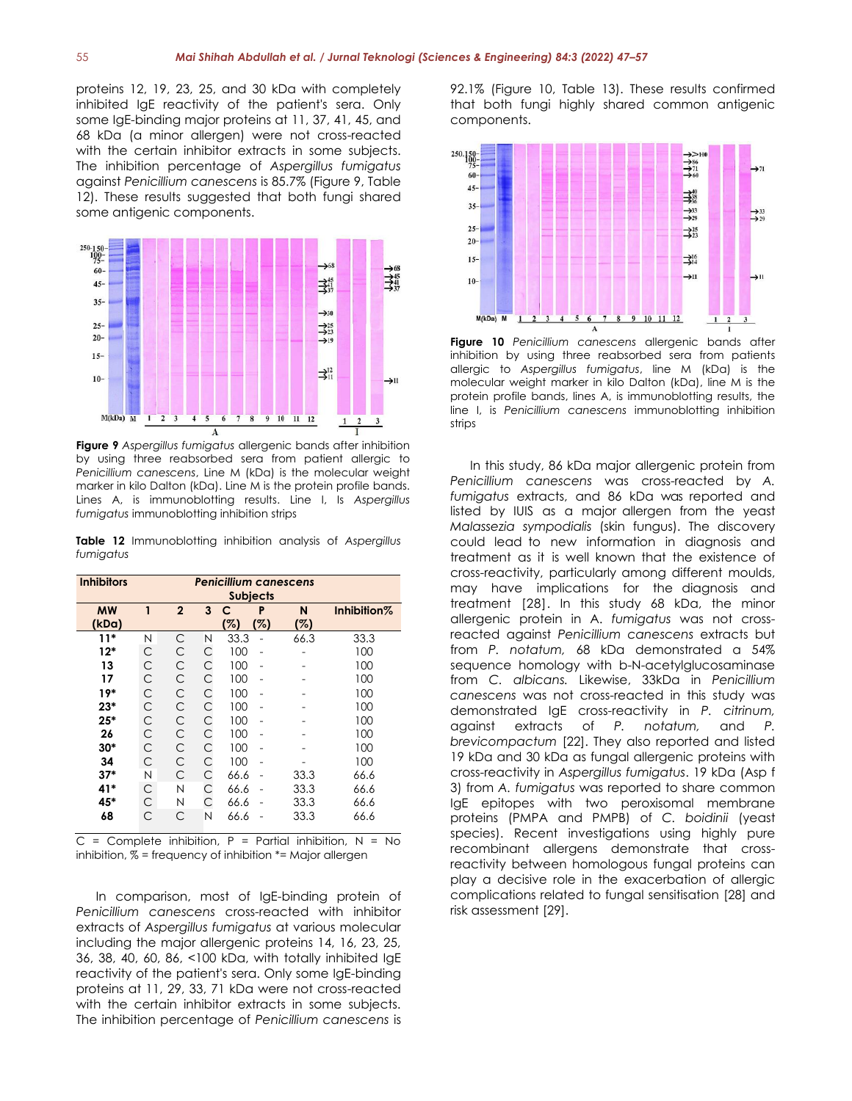proteins 12, 19, 23, 25, and 30 kDa with completely inhibited IgE reactivity of the patient's sera. Only some IgE-binding major proteins at 11, 37, 41, 45, and 68 kDa (a minor allergen) were not cross-reacted with the certain inhibitor extracts in some subjects. The inhibition percentage of *Aspergillus fumigatus*  against *Penicillium canescens* is 85.7% (Figure 9, Table 12). These results suggested that both fungi shared some antigenic components.



**Figure 9** *Aspergillus fumigatus* allergenic bands after inhibition by using three reabsorbed sera from patient allergic to *Penicillium canescens*, Line M (kDa) is the molecular weight marker in kilo Dalton (kDa). Line M is the protein profile bands. Lines A, is immunoblotting results. Line I, Is *Aspergillus fumigatus* immunoblotting inhibition strips

**Table 12** Immunoblotting inhibition analysis of *Aspergillus fumigatus*

| <b>Inhibitors</b> | <b>Penicillium canescens</b><br><b>Subjects</b> |                |   |      |     |      |             |  |  |
|-------------------|-------------------------------------------------|----------------|---|------|-----|------|-------------|--|--|
| <b>MW</b>         | 1                                               | $\overline{2}$ | 3 | с    | P   | N    | Inhibition% |  |  |
| (kDa)             |                                                 |                |   | %)   | (%) | 75)  |             |  |  |
| $11*$             | N                                               | С              | N | 33.3 |     | 66.3 | 33.3        |  |  |
| $12*$             | С                                               | C              | C | 100  |     |      | 100         |  |  |
| 13                | C                                               | C              | C | 100  |     |      | 100         |  |  |
| 17                | C                                               | C              | C | 100  |     |      | 100         |  |  |
| $19*$             | C                                               | C              | С | 100  |     |      | 100         |  |  |
| $23*$             | C                                               | C              | С | 100  |     |      | 100         |  |  |
| $25*$             | C                                               | C              | С | 100  |     |      | 100         |  |  |
| 26                | C                                               | C              | С | 100  |     |      | 100         |  |  |
| $30*$             | C                                               | C              | C | 100  |     |      | 100         |  |  |
| 34                | C                                               | C              | C | 100  |     |      | 100         |  |  |
| $37*$             | N                                               | C              | С | 66.6 |     | 33.3 | 66.6        |  |  |
| 41*               | C                                               | N              | C | 66.6 |     | 33.3 | 66.6        |  |  |
| 45*               | С                                               | N              | С | 66.6 |     | 33.3 | 66.6        |  |  |
| 68                | С                                               | С              | N | 66.6 |     | 33.3 | 66.6        |  |  |

 $C =$  Complete inhibition, P = Partial inhibition, N = No inhibition, % = frequency of inhibition \*= Major allergen

In comparison, most of IgE-binding protein of *Penicillium canescens* cross-reacted with inhibitor extracts of *Aspergillus fumigatus* at various molecular including the major allergenic proteins 14, 16, 23, 25, 36, 38, 40, 60, 86, <100 kDa, with totally inhibited IgE reactivity of the patient's sera. Only some IgE-binding proteins at 11, 29, 33, 71 kDa were not cross-reacted with the certain inhibitor extracts in some subjects. The inhibition percentage of *Penicillium canescens* is 92.1% (Figure 10, Table 13). These results confirmed that both fungi highly shared common antigenic components.



**Figure 10** *Penicillium canescens* allergenic bands after inhibition by using three reabsorbed sera from patients allergic to *Aspergillus fumigatus*, line M (kDa) is the molecular weight marker in kilo Dalton (kDa), line M is the protein profile bands, lines A, is immunoblotting results, the line I, is *Penicillium canescens* immunoblotting inhibition strips

<span id="page-8-0"></span>In this study, 86 kDa major allergenic protein from *Penicillium canescens* was cross-reacted by *A. fumigatus* extracts, and 86 kDa was reported and listed by IUIS as a major allergen from the yeast *Malassezia sympodialis* (skin fungus). The discovery could lead to new information in diagnosis and treatment as it is well known that the existence of cross-reactivity, particularly among different moulds, may have implications for the diagnosis and treatment [28]. In this study 68 kDa, the minor allergenic protein in A. *fumigatus* was not crossreacted against *Penicillium canescens* extracts but from *P. notatum,* 68 kDa demonstrated a 54% sequence homology with b-N-acetylglucosaminase from *C. albicans.* Likewise, 33kDa in *Penicillium canescens* was not cross-reacted in this study was demonstrated IgE cross-reactivity in *P. citrinum,*  against extracts of *P. notatum,* and *P. brevicompactum* [22]. They also reported and listed 19 kDa and 30 kDa as fungal allergenic proteins with cross-reactivity in *Aspergillus fumigatus*. 19 kDa (Asp f 3) from *A. fumigatus* was reported to share common IgE epitopes with two peroxisomal membrane proteins (PMPA and PMPB) of *C. boidinii* (yeast species). Recent investigations using highly pure recombinant allergens demonstrate that crossreactivity between homologous fungal proteins can play a decisive role in the exacerbation of allergic complications related to fungal sensitisation [28] and risk assessment [29].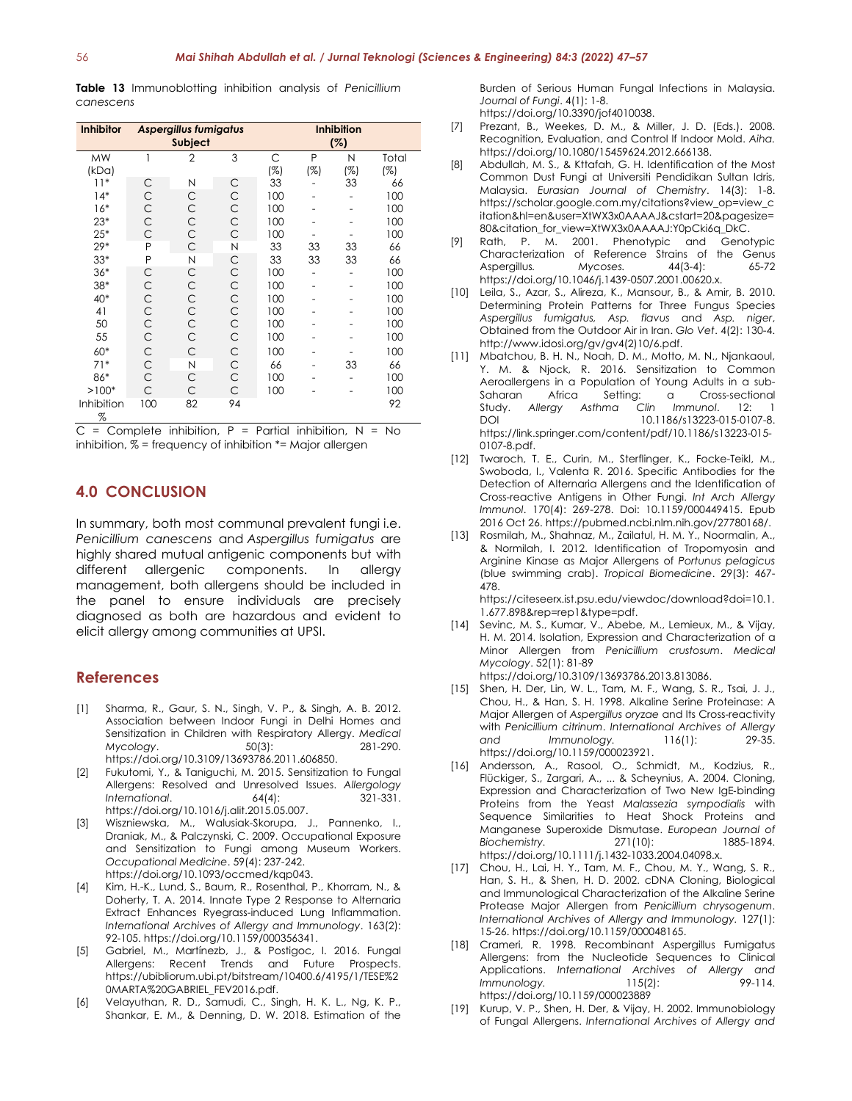**Table 13** Immunoblotting inhibition analysis of *Penicillium canescens*

| <b>Inhibitor</b> |              | <b>Aspergillus fumigatus</b><br>Subject |    | <b>Inhibition</b><br>(%) |          |          |              |
|------------------|--------------|-----------------------------------------|----|--------------------------|----------|----------|--------------|
| MW<br>(kDa)      | 1            | $\overline{2}$                          | 3  | C<br>(%)                 | P<br>(%) | N<br>(%) | Total<br>(%) |
| $11*$            | С            | Ν                                       | C  | 33                       |          | 33       | 66           |
| $14*$            | C            | C                                       | С  | 100                      |          |          | 100          |
| $16*$            | $\mathsf{C}$ | С                                       | C  | 100                      |          |          | 100          |
| $23*$            | C            | C                                       | C  | 100                      |          |          | 100          |
| $25*$            | Ċ            | Ċ                                       | C  | 100                      |          |          | 100          |
| $29*$            | P            | C                                       | N  | 33                       | 33       | 33       | 66           |
| $33*$            | P            | N                                       | C  | 33                       | 33       | 33       | 66           |
| $36*$            | С            | C                                       | С  | 100                      |          |          | 100          |
| 38*              | C            | C                                       | C  | 100                      |          |          | 100          |
| 40*              | C            | C                                       | C  | 100                      |          |          | 100          |
| 41               | $\mathsf{C}$ | C                                       | C  | 100                      |          |          | 100          |
| 50               | $\mathsf{C}$ | $\mathsf{C}$                            | C  | 100                      |          |          | 100          |
| 55               | $\mathsf{C}$ | C                                       | C  | 100                      |          |          | 100          |
| 60*              | $\mathsf{C}$ | C                                       | C  | 100                      |          |          | 100          |
| $71*$            | $\mathsf{C}$ | N                                       | C  | 66                       |          | 33       | 66           |
| 86*              | C            | C                                       | C  | 100                      |          |          | 100          |
| $>100*$          | C            | C                                       | C  | 100                      |          |          | 100          |
| Inhibition<br>%  | 100          | 82                                      | 94 |                          |          |          | 92           |

 $C =$  Complete inhibition,  $P =$  Partial inhibition,  $N =$  No inhibition, % = frequency of inhibition \*= Major allergen

# **4.0 CONCLUSION**

In summary, both most communal prevalent fungi i.e. *Penicillium canescens* and *Aspergillus fumigatus* are highly shared mutual antigenic components but with different allergenic components. In allergy management, both allergens should be included in the panel to ensure individuals are precisely diagnosed as both are hazardous and evident to elicit allergy among communities at UPSI.

### **References**

- [1] Sharma, R., Gaur, S. N., Singh, V. P., & Singh, A. B. 2012. Association between Indoor Fungi in Delhi Homes and Sensitization in Children with Respiratory Allergy. *Medical Mycology*. 50(3): 281-290. https://doi.org/10.3109/13693786.2011.606850.
- [2] Fukutomi, Y., & Taniguchi, M. 2015. Sensitization to Fungal Allergens: Resolved and Unresolved Issues. *Allergology International*. 64(4): 321-331. https://doi.org/10.1016/j.alit.2015.05.007.
- [3] Wiszniewska, M., Walusiak-Skorupa, J., Pannenko, I., Draniak, M., & Palczynski, C. 2009. Occupational Exposure and Sensitization to Fungi among Museum Workers. *Occupational Medicine*. 59(4): 237-242. https://doi.org/10.1093/occmed/kqp043.
- [4] Kim, H.-K., Lund, S., Baum, R., Rosenthal, P., Khorram, N., & Doherty, T. A. 2014. Innate Type 2 Response to Alternaria Extract Enhances Ryegrass-induced Lung Inflammation. *International Archives of Allergy and Immunology*. 163(2): 92-105. https://doi.org/10.1159/000356341.
- [5] Gabriel, M., Martínezb, J., & Postigoc, I. 2016. Fungal Allergens: Recent Trends and Future Prospects. https://ubibliorum.ubi.pt/bitstream/10400.6/4195/1/TESE%2 0MARTA%20GABRIEL\_FEV2016.pdf.
- [6] Velayuthan, R. D., Samudi, C., Singh, H. K. L., Ng, K. P., Shankar, E. M., & Denning, D. W. 2018. Estimation of the

Burden of Serious Human Fungal Infections in Malaysia. *Journal of Fungi*. 4(1): 1-8.

- https://doi.org/10.3390/jof4010038.
- [7] Prezant, B., Weekes, D. M., & Miller, J. D. (Eds.). 2008. Recognition, Evaluation, and Control lf Indoor Mold. *Aiha.* https://doi.org/10.1080/15459624.2012.666138.
- [8] Abdullah, M. S., & Kttafah, G. H. Identification of the Most Common Dust Fungi at Universiti Pendidikan Sultan Idris, Malaysia. *Eurasian Journal of Chemistry*. 14(3): 1-8. https://scholar.google.com.my/citations?view\_op=view\_c itation&hl=en&user=XtWX3x0AAAAJ&cstart=20&pagesize= 80&citation\_for\_view=XtWX3x0AAAAJ:Y0pCki6q\_DkC.
- [9] Rath, P. M. 2001. Phenotypic and Genotypic Characterization of Reference Strains of the Genus Aspergillus*. Mycoses.* 44(3-4): 65-72 https://doi.org/10.1046/j.1439-0507.2001.00620.x.
- [10] Leila, S., Azar, S., Alireza, K., Mansour, B., & Amir, B. 2010. Determining Protein Patterns for Three Fungus Species *Aspergillus fumigatus, Asp. flavus* and *Asp. niger*, Obtained from the Outdoor Air in Iran. *Glo Vet*. 4(2): 130-4. http://www.idosi.org/gv/gv4(2)10/6.pdf.
- [11] Mbatchou, B. H. N., Noah, D. M., Motto, M. N., Njankaoul, Y. M. & Njock, R. 2016. Sensitization to Common Aeroallergens in a Population of Young Adults in a sub-Saharan Africa Setting: a Cross-sectional<br>Study. Allergy Asthma Clin Immunol. 12: 1 Study. *Allergy Asthma Clin Immunol*. 12: 1 DOI 10.1186/s13223-015-0107-8. https://link.springer.com/content/pdf/10.1186/s13223-015- 0107-8.pdf.
- [12] Twaroch, T. E., Curin, M., Sterflinger, K., Focke-Teikl, M., Swoboda, I., Valenta R. 2016. Specific Antibodies for the Detection of Alternaria Allergens and the Identification of Cross-reactive Antigens in Other Fungi. *Int Arch Allergy Immunol*. 170(4): 269-278. Doi: 10.1159/000449415. Epub 2016 Oct 26. https://pubmed.ncbi.nlm.nih.gov/27780168/.
- [13] Rosmilah, M., Shahnaz, M., Zailatul, H. M. Y., Noormalin, A., & Normilah, I. 2012. Identification of Tropomyosin and Arginine Kinase as Major Allergens of *Portunus pelagicus* (blue swimming crab). *Tropical Biomedicine*. 29(3): 467- 478.

https://citeseerx.ist.psu.edu/viewdoc/download?doi=10.1. 1.677.898&rep=rep1&type=pdf.

- [14] Sevinc, M. S., Kumar, V., Abebe, M., Lemieux, M., & Vijay, H. M. 2014. Isolation, Expression and Characterization of a Minor Allergen from *Penicillium crustosum*. *Medical Mycology*. 52(1): 81-89 https://doi.org/10.3109/13693786.2013.813086.
- [15] Shen, H. Der, Lin, W. L., Tam, M. F., Wang, S. R., Tsai, J. J., Chou, H., & Han, S. H. 1998. Alkaline Serine Proteinase: A Major Allergen of *Aspergillus oryzae* and Its Cross-reactivity with *Penicillium citrinum*. *International Archives of Allergy and Immunology.* 116(1): 29-35. https://doi.org/10.1159/000023921.
- [16] Andersson, A., Rasool, O., Schmidt, M., Kodzius, R., Flückiger, S., Zargari, A., ... & Scheynius, A. 2004. Cloning, Expression and Characterization of Two New IgE‐binding Proteins from the Yeast *Malassezia sympodialis* with Sequence Similarities to Heat Shock Proteins and Manganese Superoxide Dismutase. *European Journal of Biochemistry.* 271(10): 1885-1894. https://doi.org/10.1111/j.1432-1033.2004.04098.x.
- [17] Chou, H., Lai, H. Y., Tam, M. F., Chou, M. Y., Wang, S. R., Han, S. H., & Shen, H. D. 2002. cDNA Cloning, Biological and Immunological Characterization of the Alkaline Serine Protease Major Allergen from *Penicillium chrysogenum*. *International Archives of Allergy and Immunology.* 127(1): 15-26. https://doi.org/10.1159/000048165.
- [18] Crameri, R. 1998. Recombinant Aspergillus Fumigatus Allergens: from the Nucleotide Sequences to Clinical Applications. *International Archives of Allergy and Immunology.* 115(2): 99-114. https://doi.org/10.1159/000023889
- [19] Kurup, V. P., Shen, H. Der, & Vijay, H. 2002. Immunobiology of Fungal Allergens. *International Archives of Allergy and*